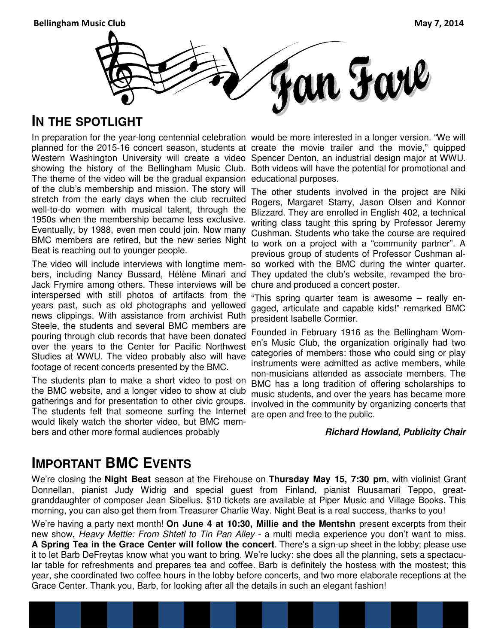Bellingham Music Club May 7, 2014



## **IN THE SPOTLIGHT**

The theme of the video will be the gradual expansion educational purposes. of the club's membership and mission. The story will stretch from the early days when the club recruited well-to-do women with musical talent, through the 1950s when the membership became less exclusive. Eventually, by 1988, even men could join. Now many BMC members are retired, but the new series Night Beat is reaching out to younger people.

The video will include interviews with longtime members, including Nancy Bussard, Hélène Minari and They updated the club's website, revamped the bro-Jack Frymire among others. These interviews will be interspersed with still photos of artifacts from the years past, such as old photographs and yellowed news clippings. With assistance from archivist Ruth Steele, the students and several BMC members are pouring through club records that have been donated over the years to the Center for Pacific Northwest Studies at WWU. The video probably also will have footage of recent concerts presented by the BMC.

The students plan to make a short video to post on the BMC website, and a longer video to show at club gatherings and for presentation to other civic groups. The students felt that someone surfing the Internet would likely watch the shorter video, but BMC members and other more formal audiences probably

In preparation for the year-long centennial celebration would be more interested in a longer version. "We will planned for the 2015-16 concert season, students at create the movie trailer and the movie," quipped Western Washington University will create a video Spencer Denton, an industrial design major at WWU. showing the history of the Bellingham Music Club. Both videos will have the potential for promotional and

> The other students involved in the project are Niki Rogers, Margaret Starry, Jason Olsen and Konnor Blizzard. They are enrolled in English 402, a technical writing class taught this spring by Professor Jeremy Cushman. Students who take the course are required to work on a project with a "community partner". A previous group of students of Professor Cushman also worked with the BMC during the winter quarter. chure and produced a concert poster.

> "This spring quarter team is awesome – really engaged, articulate and capable kids!" remarked BMC president Isabelle Cormier.

> Founded in February 1916 as the Bellingham Women's Music Club, the organization originally had two categories of members: those who could sing or play instruments were admitted as active members, while non-musicians attended as associate members. The BMC has a long tradition of offering scholarships to music students, and over the years has became more involved in the community by organizing concerts that are open and free to the public.

#### **Richard Howland, Publicity Chair**

## **IMPORTANT BMC EVENTS**

We're closing the **Night Beat** season at the Firehouse on **Thursday May 15, 7:30 pm**, with violinist Grant Donnellan, pianist Judy Widrig and special guest from Finland, pianist Ruusamari Teppo, greatgranddaughter of composer Jean Sibelius. \$10 tickets are available at Piper Music and Village Books. This morning, you can also get them from Treasurer Charlie Way. Night Beat is a real success, thanks to you!

We're having a party next month! **On June 4 at 10:30, Millie and the Mentshn** present excerpts from their new show, Heavy Mettle: From Shtetl to Tin Pan Alley - a multi media experience you don't want to miss. **A Spring Tea in the Grace Center will follow the concert**. There's a sign-up sheet in the lobby; please use it to let Barb DeFreytas know what you want to bring. We're lucky: she does all the planning, sets a spectacular table for refreshments and prepares tea and coffee. Barb is definitely the hostess with the mostest; this year, she coordinated two coffee hours in the lobby before concerts, and two more elaborate receptions at the Grace Center. Thank you, Barb, for looking after all the details in such an elegant fashion!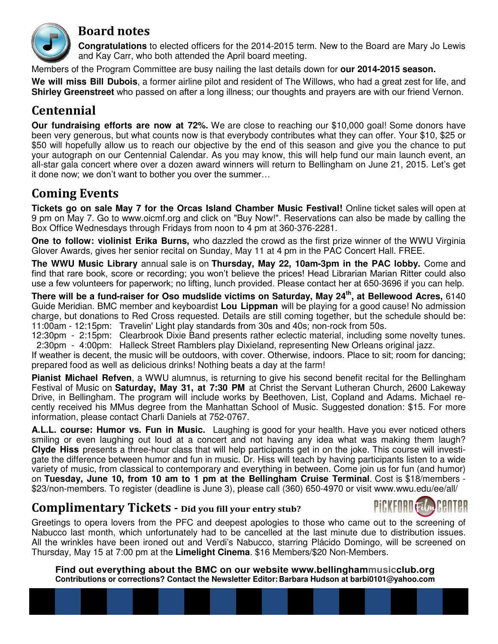

## Board notes

 **Congratulations** to elected officers for the 2014-2015 term. New to the Board are Mary Jo Lewis and Kay Carr, who both attended the April board meeting.

Members of the Program Committee are busy nailing the last details down for **our 2014-2015 season.** 

**We will miss Bill Dubois**, a former airline pilot and resident of The Willows, who had a great zest for life, and **Shirley Greenstreet** who passed on after a long illness; our thoughts and prayers are with our friend Vernon.

## Centennial

**Our fundraising efforts are now at 72%.** We are close to reaching our \$10,000 goal! Some donors have been very generous, but what counts now is that everybody contributes what they can offer. Your \$10, \$25 or \$50 will hopefully allow us to reach our objective by the end of this season and give you the chance to put your autograph on our Centennial Calendar. As you may know, this will help fund our main launch event, an all-star gala concert where over a dozen award winners will return to Bellingham on June 21, 2015. Let's get it done now; we don't want to bother you over the summer

## **Coming Events**

**Tickets go on sale May 7 for the Orcas Island Chamber Music Festival!** Online ticket sales will open at 9 pm on May 7. Go to www.oicmf.org and click on "Buy Now!". Reservations can also be made by calling the Box Office Wednesdays through Fridays from noon to 4 pm at 360-376-2281.

**One to follow: violinist Erika Burns,** who dazzled the crowd as the first prize winner of the WWU Virginia Glover Awards, gives her senior recital on Sunday, May 11 at 4 pm in the PAC Concert Hall. FREE.

**The WWU Music Library** annual sale is on **Thursday, May 22, 10am-3pm in the PAC lobby.** Come and find that rare book, score or recording; you won't believe the prices! Head Librarian Marian Ritter could also use a few volunteers for paperwork; no lifting, lunch provided. Please contact her at 650-3696 if you can help.

**There will be a fund-raiser for Oso mudslide victims on Saturday, May 24th, at Bellewood Acres,** 6140 Guide Meridian. BMC member and keyboardist **Lou Lippman** will be playing for a good cause! No admission charge, but donations to Red Cross requested. Details are still coming together, but the schedule should be: 11:00am - 12:15pm: Travelin' Light play standards from 30s and 40s; non-rock from 50s.

12:30pm - 2:15pm: Clearbrook Dixie Band presents rather eclectic material, including some novelty tunes. 2:30pm - 4:00pm: Halleck Street Ramblers play Dixieland, representing New Orleans original jazz.

If weather is decent, the music will be outdoors, with cover. Otherwise, indoors. Place to sit; room for dancing; prepared food as well as delicious drinks! Nothing beats a day at the farm!

**Pianist Michael Refven**, a WWU alumnus, is returning to give his second benefit recital for the Bellingham Festival of Music on **Saturday, May 31, at 7:30 PM** at Christ the Servant Lutheran Church, 2600 Lakeway Drive, in Bellingham. The program will include works by Beethoven, List, Copland and Adams. Michael recently received his MMus degree from the Manhattan School of Music. Suggested donation: \$15. For more information, please contact Charli Daniels at 752-0767.

**A.L.L. course: Humor vs. Fun in Music.** Laughing is good for your health. Have you ever noticed others smiling or even laughing out loud at a concert and not having any idea what was making them laugh? **Clyde Hiss** presents a three-hour class that will help participants get in on the joke. This course will investigate the difference between humor and fun in music. Dr. Hiss will teach by having participants listen to a wide variety of music, from classical to contemporary and everything in between. Come join us for fun (and humor) on **Tuesday, June 10, from 10 am to 1 pm at the Bellingham Cruise Terminal**. Cost is \$18/members - \$23/non-members. To register (deadline is June 3), please call (360) 650-4970 or visit www.wwu.edu/ee/all/

## Complimentary Tickets - Did you fill your entry stub?



Greetings to opera lovers from the PFC and deepest apologies to those who came out to the screening of Nabucco last month, which unfortunately had to be cancelled at the last minute due to distribution issues. All the wrinkles have been ironed out and Verdi's Nabucco, starring Plácido Domingo, will be screened on Thursday, May 15 at 7:00 pm at the **Limelight Cinema**. \$16 Members/\$20 Non-Members.

**Find out everything about the BMC on our website www.bellinghammusicclub.org Contributions or corrections? Contact the Newsletter Editor: Barbara Hudson at barbi0101@yahoo.com**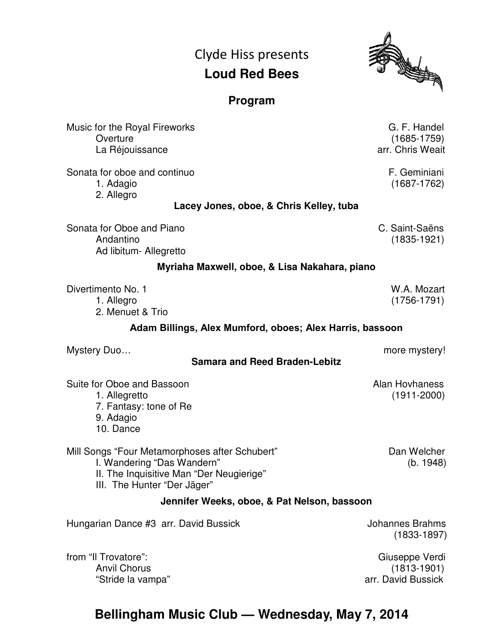## Clyde Hiss presents **Loud Red Bees**



## **Program**

| Music for the Royal Fireworks<br>Overture<br>La Réjouissance                                                                                            |                                               | G. F. Handel<br>$(1685 - 1759)$<br>arr. Chris Weait     |
|---------------------------------------------------------------------------------------------------------------------------------------------------------|-----------------------------------------------|---------------------------------------------------------|
| Sonata for oboe and continuo<br>1. Adagio<br>2. Allegro                                                                                                 |                                               | F. Geminiani<br>$(1687 - 1762)$                         |
| Lacey Jones, oboe, & Chris Kelley, tuba                                                                                                                 |                                               |                                                         |
| Sonata for Oboe and Piano<br>Andantino<br>Ad libitum- Allegretto                                                                                        |                                               | C. Saint-Saëns<br>$(1835 - 1921)$                       |
|                                                                                                                                                         | Myriaha Maxwell, oboe, & Lisa Nakahara, piano |                                                         |
| Divertimento No. 1<br>1. Allegro<br>2. Menuet & Trio                                                                                                    |                                               | W.A. Mozart<br>$(1756-1791)$                            |
| Adam Billings, Alex Mumford, oboes; Alex Harris, bassoon                                                                                                |                                               |                                                         |
| Mystery Duo                                                                                                                                             | <b>Samara and Reed Braden-Lebitz</b>          | more mystery!                                           |
| Suite for Oboe and Bassoon<br>1. Allegretto<br>7. Fantasy: tone of Re<br>9. Adagio<br>10. Dance                                                         |                                               | Alan Hovhaness<br>$(1911 - 2000)$                       |
| Mill Songs "Four Metamorphoses after Schubert"<br>I. Wandering "Das Wandern"<br>II. The Inquisitive Man "Der Neugierige"<br>III. The Hunter "Der Jäger" |                                               | Dan Welcher<br>(b. 1948)                                |
|                                                                                                                                                         | Jennifer Weeks, oboe, & Pat Nelson, bassoon   |                                                         |
| Hungarian Dance #3 arr. David Bussick                                                                                                                   |                                               | <b>Johannes Brahms</b><br>$(1833 - 1897)$               |
| from "Il Trovatore":<br><b>Anvil Chorus</b><br>"Stride la vampa"                                                                                        |                                               | Giuseppe Verdi<br>$(1813 - 1901)$<br>arr. David Bussick |

## **Bellingham Music Club — Wednesday, May 7, 2014**